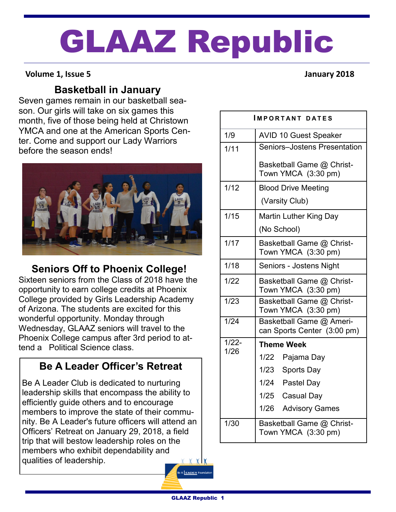# GLAAZ Republic

### **Volume 1, Issue 5 January 2018**

# **Basketball in January**

Seven games remain in our basketball season. Our girls will take on six games this month, five of those being held at Christown YMCA and one at the American Sports Center. Come and support our Lady Warriors before the season ends!



# **Seniors Off to Phoenix College!**

Sixteen seniors from the Class of 2018 have the opportunity to earn college credits at Phoenix College provided by Girls Leadership Academy of Arizona. The students are excited for this wonderful opportunity. Monday through Wednesday, GLAAZ seniors will travel to the Phoenix College campus after 3rd period to attend a Political Science class.

# **Be A Leader Officer's Retreat**

Be A Leader Club is dedicated to nurturing leadership skills that encompass the ability to efficiently guide others and to encourage members to improve the state of their community. Be A Leader's future officers will attend an Officers' Retreat on January 29, 2018, a field trip that will bestow leadership roles on the members who exhibit dependability and qualities of leadership. **YYY** 

| IMPORTANT DATES  |                                                         |
|------------------|---------------------------------------------------------|
| 1/9              | <b>AVID 10 Guest Speaker</b>                            |
| 1/11             | Seniors-Jostens Presentation                            |
|                  | Basketball Game @ Christ-<br>Town YMCA (3:30 pm)        |
| 1/12             | <b>Blood Drive Meeting</b>                              |
|                  | (Varsity Club)                                          |
| 1/15             | <b>Martin Luther King Day</b>                           |
|                  | (No School)                                             |
| 1/17             | Basketball Game @ Christ-<br>Town YMCA (3:30 pm)        |
| 1/18             | Seniors - Jostens Night                                 |
| 1/22             | Basketball Game @ Christ-<br>Town YMCA (3:30 pm)        |
| 1/23             | Basketball Game @ Christ-<br>Town YMCA (3:30 pm)        |
| 1/24             | Basketball Game @ Ameri-<br>can Sports Center (3:00 pm) |
| $1/22 -$<br>1/26 | <b>Theme Week</b>                                       |
|                  | 1/22 Pajama Day                                         |
|                  | 1/23<br>Sports Day                                      |
|                  | 1/24 Pastel Day                                         |
|                  | 1/25 Casual Day                                         |
|                  | 1/26 Advisory Games                                     |
| 1/30             | Basketball Game @ Christ-<br>Town YMCA (3:30 pm)        |

A EADER Found